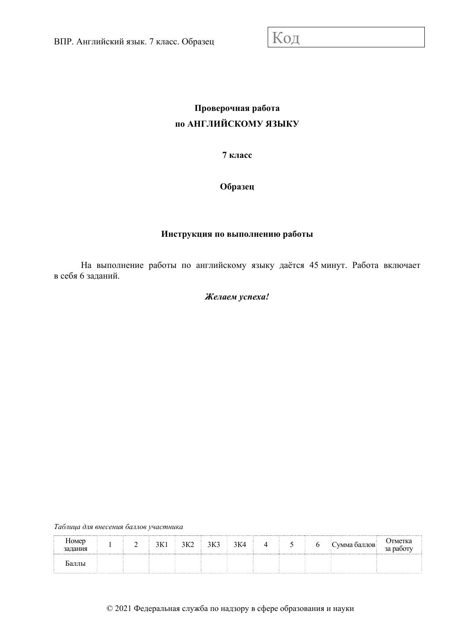# **Проверочная работа по АНГЛИЙСКОМУ ЯЗЫКУ**

**7 класс** 

**Образец** 

# **Инструкция по выполнению работы**

На выполнение работы по английскому языку даётся 45 минут. Работа включает в себя 6 заданий.

## *Желаем успеха!*

*Таблица для внесения баллов участника*

| $\mathbf{r}$<br>Номер<br>задания |  | 3K1 | $3K2$ $3K3$ $3K4$ |  |  | Сумма баллов | Отметка<br>за паботу |
|----------------------------------|--|-----|-------------------|--|--|--------------|----------------------|
| раллы                            |  |     |                   |  |  |              |                      |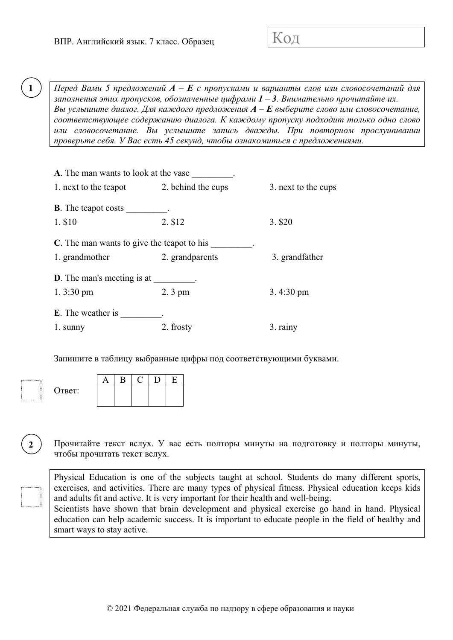*Перед Вами 5 предложений A – E с пропусками и варианты слов или словосочетаний для заполнения этих пропусков, обозначенные цифрами 1 – 3. Внимательно прочитайте их. Вы услышите диалог. Для каждого предложения A – E выберите слово или словосочетание, соответствующее содержанию диалога. К каждому пропуску подходит только одно слово или словосочетание. Вы услышите запись дважды. При повторном прослушивании проверьте себя. У Вас есть 45 секунд, чтобы ознакомиться с предложениями.* 

| A. The man wants to look at the vase       |                    |                     |
|--------------------------------------------|--------------------|---------------------|
| 1. next to the teapot                      | 2. behind the cups | 3. next to the cups |
| <b>B</b> . The teapot costs                |                    |                     |
| 1. \$10                                    | 2. \$12            | 3. \$20             |
| C. The man wants to give the teapot to his |                    |                     |
| 1. grandmother                             | 2. grandparents    | 3. grandfather      |
| <b>D</b> . The man's meeting is at         |                    |                     |
| 1. $3:30 \text{ pm}$                       | $2.3 \text{ pm}$   | $3.4:30 \text{ pm}$ |
| <b>E</b> . The weather is                  |                    |                     |
| 1. sunny                                   | 2. frosty          | 3. rainy            |

Запишите в таблицу выбранные цифры под соответствующими буквами.

| Ответ: |  |  |  |
|--------|--|--|--|
|        |  |  |  |

**2** 

**1** 

Прочитайте текст вслух. У вас есть полторы минуты на подготовку и полторы минуты, чтобы прочитать текст вслух.

Physical Education is one of the subjects taught at school. Students do many different sports, exercises, and activities. There are many types of physical fitness. Physical education keeps kids and adults fit and active. It is very important for their health and well-being. Scientists have shown that brain development and physical exercise go hand in hand. Physical education can help academic success. It is important to educate people in the field of healthy and smart ways to stay active.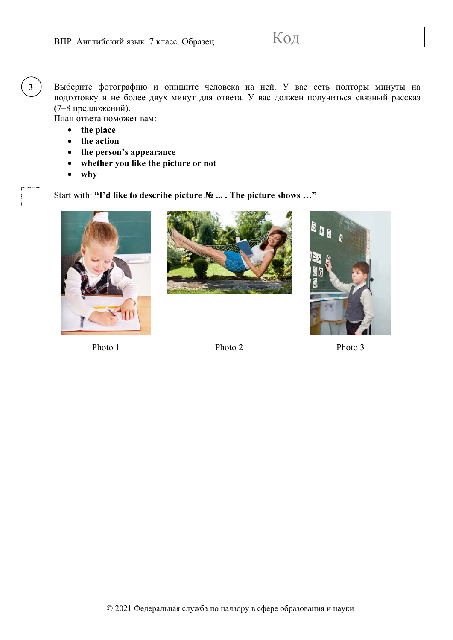Выберите фотографию и опишите человека на ней. У вас есть полторы минуты на подготовку и не более двух минут для ответа. У вас должен получиться связный рассказ (7–8 предложений).

План ответа поможет вам:

• **the place** 

**3** 

- **the action**
- **the person's appearance**
- **whether you like the picture or not**
- **why**

Start with: **"I'd like to describe picture № ... . The picture shows …"** 







Photo 1 Photo 2 Photo 3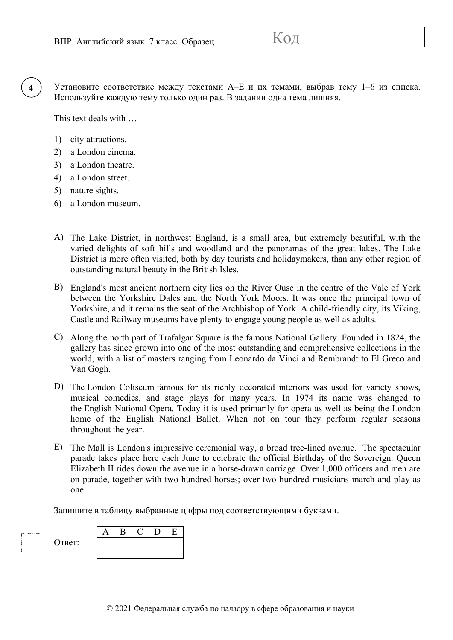Установите соответствие между текстами A–E и их темами, выбрав тему 1–6 из списка. Используйте каждую тему только один раз. В задании одна тема лишняя.

This text deals with …

1) city attractions.

**4** 

- 2) a London cinema.
- 3) a London theatre.
- 4) a London street.
- 5) nature sights.
- 6) a London museum.
- A) The Lake District, in northwest England, is a small area, but extremely beautiful, with the varied delights of soft hills and woodland and the panoramas of the great lakes. The Lake District is more often visited, both by day tourists and holidaymakers, than any other region of outstanding natural beauty in the British Isles.
- B) England's most ancient northern city lies on the River Ouse in the centre of the Vale of York between the Yorkshire Dales and the North York Moors. It was once the principal town of Yorkshire, and it remains the seat of the Archbishop of York. A child-friendly city, its Viking, Castle and Railway museums have plenty to engage young people as well as adults.
- C) Along the north part of Trafalgar Square is the famous National Gallery. Founded in 1824, the gallery has since grown into one of the most outstanding and comprehensive collections in the world, with a list of masters ranging from Leonardo da Vinci and Rembrandt to El Greco and Van Gogh.
- D) The London Coliseum famous for its richly decorated interiors was used for variety shows, musical comedies, and stage plays for many years. In 1974 its name was changed to the English National Opera. Today it is used primarily for opera as well as being the London home of the English National Ballet. When not on tour they perform regular seasons throughout the year.
- E) The Mall is London's impressive ceremonial way, a broad tree-lined avenue. The spectacular parade takes place here each June to celebrate the official Birthday of the Sovereign. Queen Elizabeth II rides down the avenue in a horse-drawn carriage. Over 1,000 officers and men are on parade, together with two hundred horses; over two hundred musicians march and play as one.

Запишите в таблицу выбранные цифры под соответствующими буквами.

| Ответ:<br>. |  |  |  |
|-------------|--|--|--|
|             |  |  |  |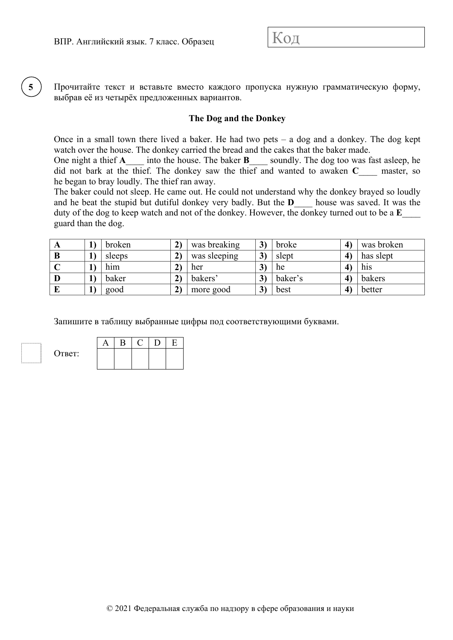**5** 

Прочитайте текст и вставьте вместо каждого пропуска нужную грамматическую форму, выбрав её из четырёх предложенных вариантов.

#### **The Dog and the Donkey**

Once in a small town there lived a baker. He had two pets  $-$  a dog and a donkey. The dog kept watch over the house. The donkey carried the bread and the cakes that the baker made.

One night a thief **A**\_\_\_\_ into the house. The baker **B**\_\_\_\_ soundly. The dog too was fast asleep, he did not bark at the thief. The donkey saw the thief and wanted to awaken **C**\_\_\_\_ master, so he began to bray loudly. The thief ran away.

The baker could not sleep. He came out. He could not understand why the donkey brayed so loudly and he beat the stupid but dutiful donkey very badly. But the **D**\_\_\_\_ house was saved. It was the duty of the dog to keep watch and not of the donkey. However, the donkey turned out to be a **E**\_\_\_\_ guard than the dog.

| $\Delta$ | broken | was breaking | 3) | broke   | was broken |
|----------|--------|--------------|----|---------|------------|
| B        | sleeps | was sleeping | 3) | slept   | has slept  |
|          | him    | her          | ◡  | he      | his        |
| D        | baker  | bakers'      |    | baker's | bakers     |
|          | good   | more good    | 3) | best    | better     |

Запишите в таблицу выбранные цифры под соответствующими буквами.

| Ответ: |  |  |  |
|--------|--|--|--|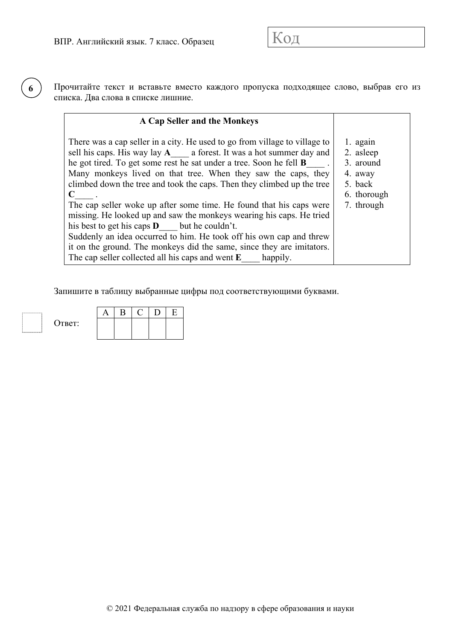Прочитайте текст и вставьте вместо каждого пропуска подходящее слово, выбрав его из списка. Два слова в списке лишние.

#### **A Cap Seller and the Monkeys**

| There was a cap seller in a city. He used to go from village to village to<br>sell his caps. His way lay $A$ a forest. It was a hot summer day and<br>he got tired. To get some rest he sat under a tree. Soon he fell <b>B</b><br>Many monkeys lived on that tree. When they saw the caps, they<br>climbed down the tree and took the caps. Then they climbed up the tree<br>$\mathbf C$<br>The cap seller woke up after some time. He found that his caps were<br>missing. He looked up and saw the monkeys wearing his caps. He tried | 1. again<br>2. asleep<br>3. around<br>4. away<br>5. back<br>6. thorough<br>7. through |
|------------------------------------------------------------------------------------------------------------------------------------------------------------------------------------------------------------------------------------------------------------------------------------------------------------------------------------------------------------------------------------------------------------------------------------------------------------------------------------------------------------------------------------------|---------------------------------------------------------------------------------------|
| his best to get his caps $\bf{D}$ but he couldn't.                                                                                                                                                                                                                                                                                                                                                                                                                                                                                       |                                                                                       |
| Suddenly an idea occurred to him. He took off his own cap and threw<br>it on the ground. The monkeys did the same, since they are imitators.                                                                                                                                                                                                                                                                                                                                                                                             |                                                                                       |
| The cap seller collected all his caps and went $E$ happily.                                                                                                                                                                                                                                                                                                                                                                                                                                                                              |                                                                                       |

Запишите в таблицу выбранные цифры под соответствующими буквами.

Ответ:  $A$   $B$   $C$   $D$   $E$ 

**6**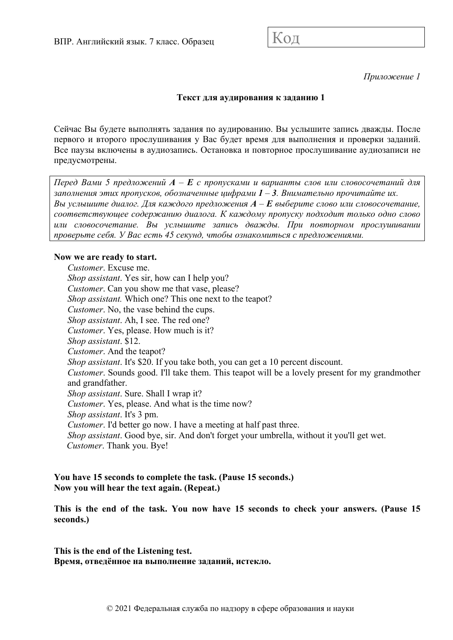*Приложение 1* 

## **Текст для аудирования к заданию 1**

Сейчас Вы будете выполнять задания по аудированию. Вы услышите запись дважды. После первого и второго прослушивания у Вас будет время для выполнения и проверки заданий. Все паузы включены в аудиозапись. Остановка и повторное прослушивание аудиозаписи не предусмотрены.

*Перед Вами 5 предложений A – E с пропусками и варианты слов или словосочетаний для заполнения этих пропусков, обозначенные цифрами 1 – 3. Внимательно прочитайте их. Вы услышите диалог. Для каждого предложения A – E выберите слово или словосочетание, соответствующее содержанию диалога. К каждому пропуску подходит только одно слово или словосочетание. Вы услышите запись дважды. При повторном прослушивании проверьте себя. У Вас есть 45 секунд, чтобы ознакомиться с предложениями.* 

#### **Now we are ready to start.**

*Customer*. Excuse me. *Shop assistant*. Yes sir, how can I help you? *Customer*. Can you show me that vase, please? *Shop assistant.* Which one? This one next to the teapot? *Customer*. No, the vase behind the cups. *Shop assistant*. Ah, I see. The red one? *Customer*. Yes, please. How much is it? *Shop assistant*. \$12. *Customer*. And the teapot? *Shop assistant*. It's \$20. If you take both, you can get a 10 percent discount. *Customer*. Sounds good. I'll take them. This teapot will be a lovely present for my grandmother and grandfather. *Shop assistant*. Sure. Shall I wrap it? *Customer*. Yes, please. And what is the time now? *Shop assistant*. It's 3 pm. *Customer*. I'd better go now. I have a meeting at half past three. *Shop assistant*. Good bye, sir. And don't forget your umbrella, without it you'll get wet. *Customer*. Thank you. Bye!

#### **You have 15 seconds to complete the task. (Pause 15 seconds.) Now you will hear the text again. (Repeat.)**

**This is the end of the task. You now have 15 seconds to check your answers. (Pause 15 seconds.)** 

**This is the end of the Listening test. Время, отведённое на выполнение заданий, истекло.**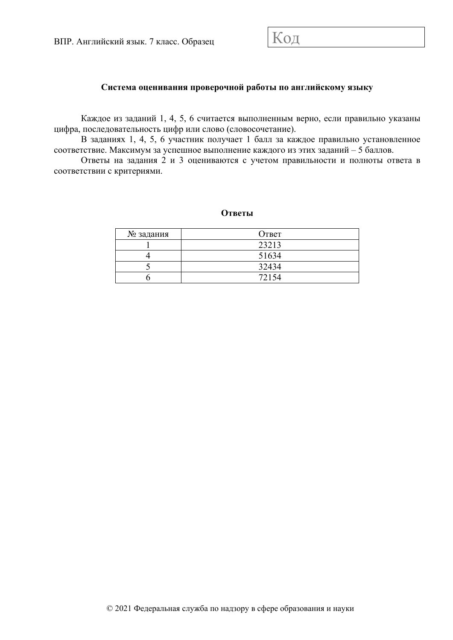#### **Система оценивания проверочной работы по английскому языку**

Каждое из заданий 1, 4, 5, 6 считается выполненным верно, если правильно указаны цифра, последовательность цифр или слово (словосочетание).

В заданиях 1, 4, 5, 6 участник получает 1 балл за каждое правильно установленное соответствие. Максимум за успешное выполнение каждого из этих заданий – 5 баллов.

Ответы на задания 2 и 3 оцениваются с учетом правильности и полноты ответа в соответствии с критериями.

#### **Ответы**

| № задания | Ответ |
|-----------|-------|
|           | 23213 |
|           | 51634 |
|           | 32434 |
|           | 72154 |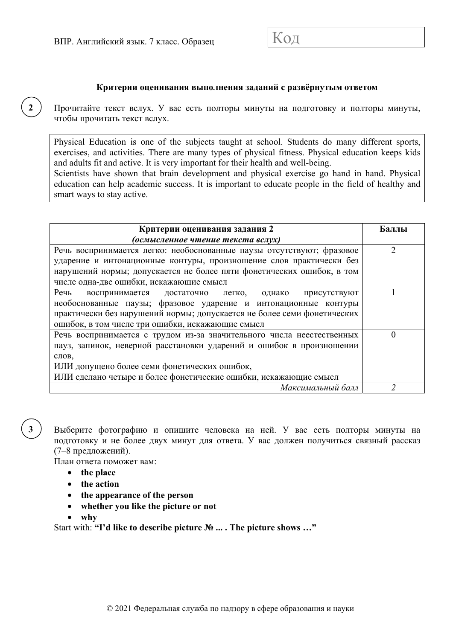#### **Критерии оценивания выполнения заданий с развёрнутым ответом**

Прочитайте текст вслух. У вас есть полторы минуты на подготовку и полторы минуты, чтобы прочитать текст вслух.

Physical Education is one of the subjects taught at school. Students do many different sports, exercises, and activities. There are many types of physical fitness. Physical education keeps kids and adults fit and active. It is very important for their health and well-being.

Scientists have shown that brain development and physical exercise go hand in hand. Physical education can help academic success. It is important to educate people in the field of healthy and smart ways to stay active.

| Критерии оценивания задания 2                                           | Баллы |
|-------------------------------------------------------------------------|-------|
| (осмысленное чтение текста вслух)                                       |       |
| Речь воспринимается легко: необоснованные паузы отсутствуют; фразовое   | 2     |
| ударение и интонационные контуры, произношение слов практически без     |       |
| нарушений нормы; допускается не более пяти фонетических ошибок, в том   |       |
| числе одна-две ошибки, искажающие смысл                                 |       |
| Речь<br>воспринимается достаточно легко, однако<br>присутствуют         |       |
| необоснованные паузы; фразовое ударение и интонационные контуры         |       |
| практически без нарушений нормы; допускается не более семи фонетических |       |
| ошибок, в том числе три ошибки, искажающие смысл                        |       |
| Речь воспринимается с трудом из-за значительного числа неестественных   |       |
| пауз, запинок, неверной расстановки ударений и ошибок в произношении    |       |
| слов,                                                                   |       |
| ИЛИ допущено более семи фонетических ошибок,                            |       |
| ИЛИ сделано четыре и более фонетические ошибки, искажающие смысл        |       |
| Максимальный балл                                                       |       |

**3** 

**2** 

Выберите фотографию и опишите человека на ней. У вас есть полторы минуты на подготовку и не более двух минут для ответа. У вас должен получиться связный рассказ (7–8 предложений).

План ответа поможет вам:

- **the place**
- **the action**
- **the appearance of the person**
- **whether you like the picture or not**
- **why**

Start with: **"I'd like to describe picture № ... . The picture shows …"**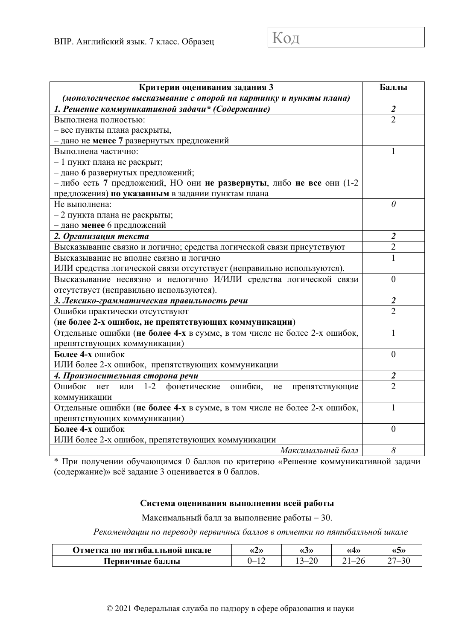| Критерии оценивания задания 3                                            | Баллы                       |
|--------------------------------------------------------------------------|-----------------------------|
| (монологическое высказывание с опорой на картинку и пункты плана)        |                             |
| 1. Решение коммуникативной задачи* (Содержание)                          | $\overline{2}$              |
| Выполнена полностью:                                                     | $\mathcal{D}_{\mathcal{L}}$ |
| - все пункты плана раскрыты,                                             |                             |
| - дано не менее 7 развернутых предложений                                |                             |
| Выполнена частично:                                                      | 1                           |
| - 1 пункт плана не раскрыт;                                              |                             |
| - дано 6 развернутых предложений;                                        |                             |
| - либо есть 7 предложений, НО они не развернуты, либо не все они (1-2    |                             |
| предложения) по указанным в задании пунктам плана                        |                             |
| Не выполнена:                                                            | $\theta$                    |
| $-2$ пункта плана не раскрыты;                                           |                             |
| - дано менее 6 предложений                                               |                             |
| 2. Организация текста                                                    | $\overline{2}$              |
| Высказывание связно и логично; средства логической связи присутствуют    | $\overline{2}$              |
| Высказывание не вполне связно и логично                                  |                             |
| ИЛИ средства логической связи отсутствует (неправильно используются).    |                             |
| Высказывание несвязно и нелогично И/ИЛИ средства логической связи        | $\overline{0}$              |
| отсутствует (неправильно используются).                                  |                             |
| 3. Лексико-грамматическая правильность речи                              | 2                           |
| Ошибки практически отсутствуют                                           | $\overline{2}$              |
| (не более 2-х ошибок, не препятствующих коммуникации)                    |                             |
| Отдельные ошибки (не более 4-х в сумме, в том числе не более 2-х ошибок, | 1                           |
| препятствующих коммуникации)                                             |                             |
| Более 4-х ошибок                                                         | $\overline{0}$              |
| ИЛИ более 2-х ошибок, препятствующих коммуникации                        |                             |
| 4. Произносительная сторона речи                                         | $\boldsymbol{2}$            |
| 1-2 фонетические<br>Ошибок нет<br>ошибки,<br>He<br>препятствующие<br>ИЛИ | $\overline{\mathcal{L}}$    |
| коммуникации                                                             |                             |
| Отдельные ошибки (не более 4-х в сумме, в том числе не более 2-х ошибок, | 1                           |
| препятствующих коммуникации)                                             |                             |
| Более 4-х ошибок                                                         | $\theta$                    |
| ИЛИ более 2-х ошибок, препятствующих коммуникации                        |                             |
| Максимальный балл                                                        | 8                           |

\* При получении обучающимся 0 баллов по критерию «Решение коммуникативной задачи (содержание)» всё задание 3 оценивается в 0 баллов.

#### **Система оценивания выполнения всей работы**

Максимальный балл за выполнение работы − 30.

*Рекомендации по переводу первичных баллов в отметки по пятибалльной шкале*

| <b>Отметка по пятибалльной шкале</b> | «4» | $\langle \langle J \rangle \rangle$ | (4) | «S»                      |
|--------------------------------------|-----|-------------------------------------|-----|--------------------------|
| Первичные баллы                      | --  | $\sim$                              |     | $\overline{\phantom{a}}$ |